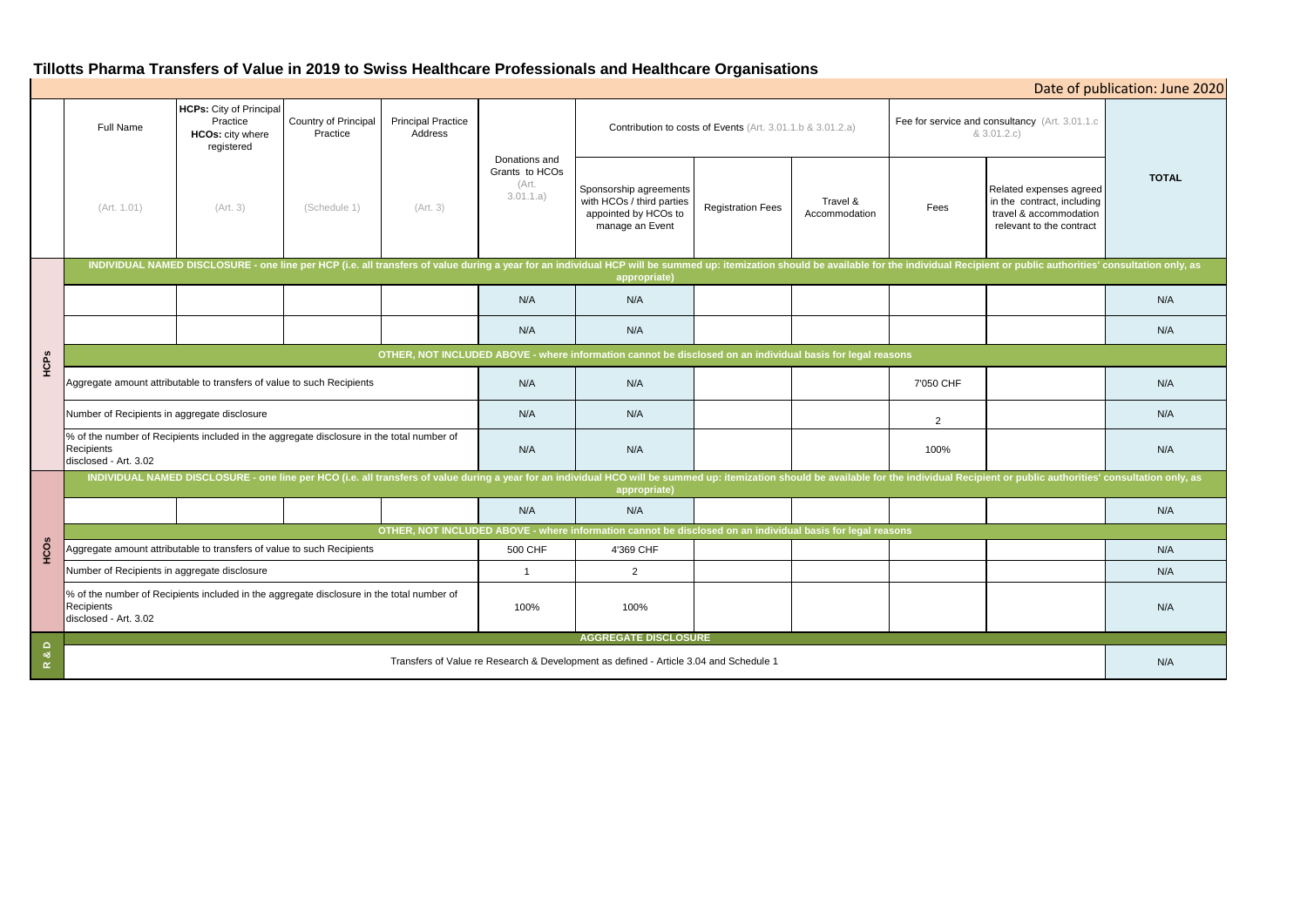# **Tillotts Pharma Transfers of Value in 2019 to Swiss Healthcare Professionals and Healthcare Organisations**

| Date of publication: June 2020                                       |                                                                                                             |              |  |  |  |  |  |  |  |  |  |
|----------------------------------------------------------------------|-------------------------------------------------------------------------------------------------------------|--------------|--|--|--|--|--|--|--|--|--|
| Fee for service and consultancy (Art. 3.01.1.c<br>& 3.01.2.c)        |                                                                                                             |              |  |  |  |  |  |  |  |  |  |
| Fees                                                                 | Related expenses agreed<br>in the contract, including<br>travel & accommodation<br>relevant to the contract | <b>TOTAL</b> |  |  |  |  |  |  |  |  |  |
| le individual Recipient or public authorities' consultation only, as |                                                                                                             |              |  |  |  |  |  |  |  |  |  |
|                                                                      |                                                                                                             | N/A          |  |  |  |  |  |  |  |  |  |
|                                                                      |                                                                                                             | N/A          |  |  |  |  |  |  |  |  |  |
| ons                                                                  |                                                                                                             |              |  |  |  |  |  |  |  |  |  |
| 7'050 CHF                                                            |                                                                                                             | N/A          |  |  |  |  |  |  |  |  |  |
| 2                                                                    |                                                                                                             | N/A          |  |  |  |  |  |  |  |  |  |
| 100%                                                                 |                                                                                                             | N/A          |  |  |  |  |  |  |  |  |  |
| ne individual Recipient or public authorities' consultation only, as |                                                                                                             |              |  |  |  |  |  |  |  |  |  |
|                                                                      |                                                                                                             | N/A          |  |  |  |  |  |  |  |  |  |
| ons                                                                  |                                                                                                             |              |  |  |  |  |  |  |  |  |  |
|                                                                      |                                                                                                             | N/A          |  |  |  |  |  |  |  |  |  |
|                                                                      |                                                                                                             | N/A          |  |  |  |  |  |  |  |  |  |
|                                                                      |                                                                                                             | N/A          |  |  |  |  |  |  |  |  |  |
|                                                                      |                                                                                                             | N/A          |  |  |  |  |  |  |  |  |  |

|               | <b>Full Name</b>                                                                                                                                                                                                                               | <b>HCPs:</b> City of Principal<br>Practice<br><b>HCOs: city where</b><br>registered | Country of Principal<br>Practice | <b>Principal Practice</b><br>Address | Donations and<br>Grants to HCOs<br>(Art.<br>3.01.1.a) | Contribution to costs of Events (Art. 3.01.1.b & 3.01.2.a)                                     |                          |                           | Fee for service and consultancy (Art. 3.01.1.c<br>& 3.01.2.c) |                                                                                                             |              |
|---------------|------------------------------------------------------------------------------------------------------------------------------------------------------------------------------------------------------------------------------------------------|-------------------------------------------------------------------------------------|----------------------------------|--------------------------------------|-------------------------------------------------------|------------------------------------------------------------------------------------------------|--------------------------|---------------------------|---------------------------------------------------------------|-------------------------------------------------------------------------------------------------------------|--------------|
|               | (Art. 1.01)                                                                                                                                                                                                                                    | (Art. 3)                                                                            | (Schedule 1)                     | (Art. 3)                             |                                                       | Sponsorship agreements<br>with HCOs / third parties<br>appointed by HCOs to<br>manage an Event | <b>Registration Fees</b> | Travel &<br>Accommodation | Fees                                                          | Related expenses agreed<br>in the contract, including<br>travel & accommodation<br>relevant to the contract | <b>TOTAL</b> |
| HCPs          | INDIVIDUAL NAMED DISCLOSURE - one line per HCP (i.e. all transfers of value during a year for an individual HCP will be summed up: itemization should be available for the individual Recipient or public authorities' consult<br>appropriate) |                                                                                     |                                  |                                      |                                                       |                                                                                                |                          |                           |                                                               |                                                                                                             |              |
|               |                                                                                                                                                                                                                                                |                                                                                     |                                  |                                      | N/A                                                   | N/A                                                                                            |                          |                           |                                                               |                                                                                                             | N/A          |
|               |                                                                                                                                                                                                                                                |                                                                                     |                                  |                                      | N/A                                                   | N/A                                                                                            |                          |                           |                                                               |                                                                                                             | N/A          |
|               | OTHER, NOT INCLUDED ABOVE - where information cannot be disclosed on an individual basis for legal reasons                                                                                                                                     |                                                                                     |                                  |                                      |                                                       |                                                                                                |                          |                           |                                                               |                                                                                                             |              |
|               | Aggregate amount attributable to transfers of value to such Recipients                                                                                                                                                                         |                                                                                     |                                  | N/A                                  | N/A                                                   |                                                                                                |                          | 7'050 CHF                 |                                                               | N/A                                                                                                         |              |
|               | Number of Recipients in aggregate disclosure                                                                                                                                                                                                   |                                                                                     |                                  | N/A                                  | N/A                                                   |                                                                                                |                          | $\overline{2}$            |                                                               | N/A                                                                                                         |              |
|               | % of the number of Recipients included in the aggregate disclosure in the total number of<br>Recipients<br>disclosed - Art. 3.02                                                                                                               |                                                                                     |                                  |                                      | N/A                                                   | N/A                                                                                            |                          |                           | 100%                                                          |                                                                                                             | N/A          |
| <b>HCOS</b>   | INDIVIDUAL NAMED DISCLOSURE - one line per HCO (i.e. all transfers of value during a year for an individual HCO will be summed up: itemization should be available for the individual Recipient or public authorities' consult<br>appropriate) |                                                                                     |                                  |                                      |                                                       |                                                                                                |                          |                           |                                                               |                                                                                                             |              |
|               |                                                                                                                                                                                                                                                |                                                                                     |                                  |                                      | N/A                                                   | N/A                                                                                            |                          |                           |                                                               |                                                                                                             | N/A          |
|               | OTHER, NOT INCLUDED ABOVE - where information cannot be disclosed on an individual basis for legal reasons                                                                                                                                     |                                                                                     |                                  |                                      |                                                       |                                                                                                |                          |                           |                                                               |                                                                                                             |              |
|               | Aggregate amount attributable to transfers of value to such Recipients<br>500 CHF                                                                                                                                                              |                                                                                     |                                  |                                      | 4'369 CHF                                             |                                                                                                |                          |                           |                                                               | N/A                                                                                                         |              |
|               | Number of Recipients in aggregate disclosure<br>-1                                                                                                                                                                                             |                                                                                     |                                  |                                      | $\overline{2}$                                        |                                                                                                |                          |                           |                                                               | N/A                                                                                                         |              |
|               | % of the number of Recipients included in the aggregate disclosure in the total number of<br>Recipients<br>disclosed - Art. 3.02                                                                                                               |                                                                                     |                                  | 100%                                 | 100%                                                  |                                                                                                |                          |                           |                                                               | N/A                                                                                                         |              |
| $\Omega$      | <b>AGGREGATE DISCLOSURE</b>                                                                                                                                                                                                                    |                                                                                     |                                  |                                      |                                                       |                                                                                                |                          |                           |                                                               |                                                                                                             |              |
| ಷ<br>$\alpha$ | Transfers of Value re Research & Development as defined - Article 3.04 and Schedule 1                                                                                                                                                          |                                                                                     |                                  |                                      |                                                       |                                                                                                |                          |                           |                                                               | N/A                                                                                                         |              |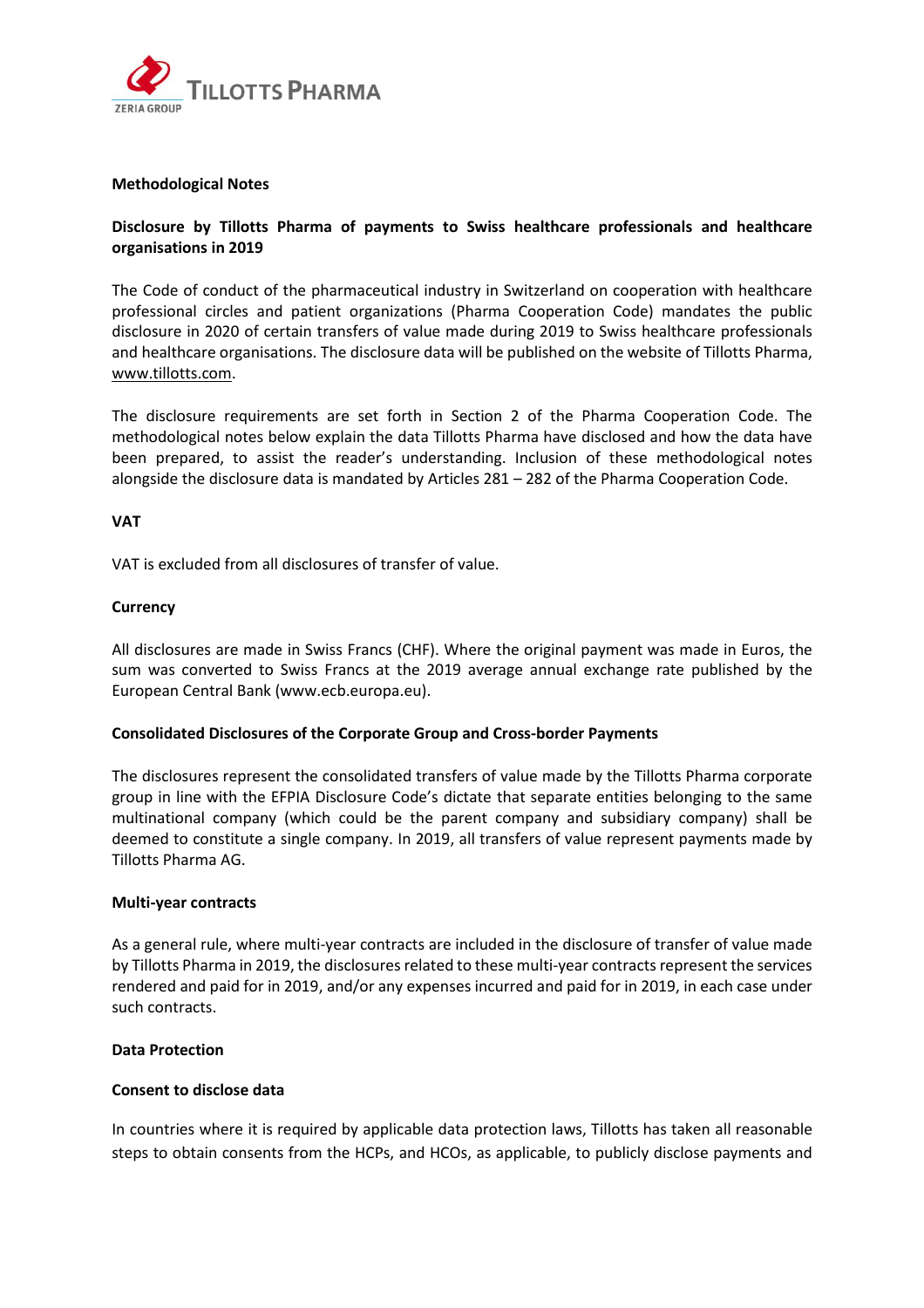

#### **Methodological Notes**

## **Disclosure by Tillotts Pharma of payments to Swiss healthcare professionals and healthcare organisations in 2019**

The Code of conduct of the pharmaceutical industry in Switzerland on cooperation with healthcare professional circles and patient organizations (Pharma Cooperation Code) mandates the public disclosure in 2020 of certain transfers of value made during 2019 to Swiss healthcare professionals and healthcare organisations. The disclosure data will be published on the website of Tillotts Pharma, [www.tillotts.com.](http://www.tillotts.com/)

The disclosure requirements are set forth in Section 2 of the Pharma Cooperation Code. The methodological notes below explain the data Tillotts Pharma have disclosed and how the data have been prepared, to assist the reader's understanding. Inclusion of these methodological notes alongside the disclosure data is mandated by Articles 281 – 282 of the Pharma Cooperation Code.

#### **VAT**

VAT is excluded from all disclosures of transfer of value.

#### **Currency**

All disclosures are made in Swiss Francs (CHF). Where the original payment was made in Euros, the sum was converted to Swiss Francs at the 2019 average annual exchange rate published by the European Central Bank (www.ecb.europa.eu).

### **Consolidated Disclosures of the Corporate Group and Cross‐border Payments**

The disclosures represent the consolidated transfers of value made by the Tillotts Pharma corporate group in line with the EFPIA Disclosure Code's dictate that separate entities belonging to the same multinational company (which could be the parent company and subsidiary company) shall be deemed to constitute a single company. In 2019, all transfers of value represent payments made by Tillotts Pharma AG.

#### **Multi‐year contracts**

As a general rule, where multi‐year contracts are included in the disclosure of transfer of value made by Tillotts Pharma in 2019, the disclosures related to these multi-year contracts represent the services rendered and paid for in 2019, and/or any expenses incurred and paid for in 2019, in each case under such contracts.

### **Data Protection**

#### **Consent to disclose data**

In countries where it is required by applicable data protection laws, Tillotts has taken all reasonable steps to obtain consents from the HCPs, and HCOs, as applicable, to publicly disclose payments and